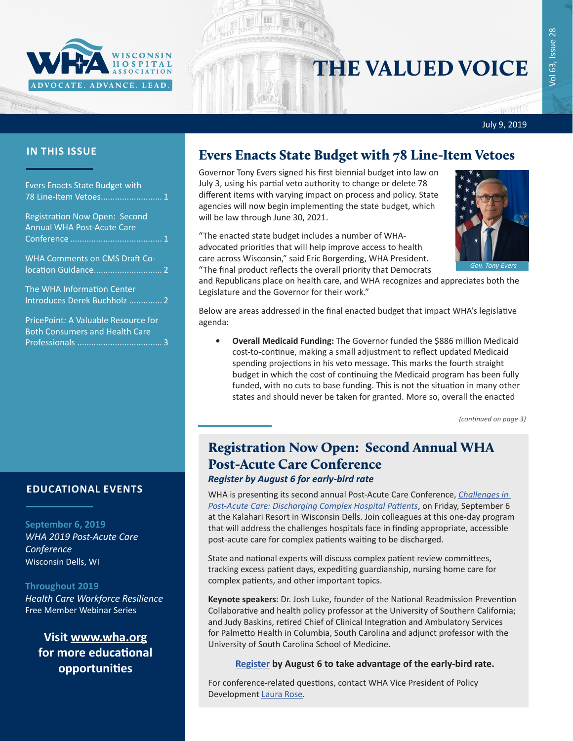

# THE VALUED VOICE

July 9, 2019

| <b>Evers Enacts State Budget with</b><br>78 Line-Item Vetoes 1            |  |
|---------------------------------------------------------------------------|--|
| <b>Registration Now Open: Second</b><br><b>Annual WHA Post-Acute Care</b> |  |
| <b>WHA Comments on CMS Draft Co-</b>                                      |  |
| The WHA Information Center<br>Introduces Derek Buchholz  2                |  |
| DricoDointy A Volughla Docourse for                                       |  |

PricePoint: A Valuable Resource fo [Both Consumers and Health Care](#page-2-0)  Professionals [....................................](#page-2-0) 3

### **IN THIS ISSUE** Evers Enacts State Budget with 78 Line-Item Vetoes

Governor Tony Evers signed his first biennial budget into law on July 3, using his partial veto authority to change or delete 78 different items with varying impact on process and policy. State agencies will now begin implementing the state budget, which will be law through June 30, 2021.

"The enacted state budget includes a number of WHAadvocated priorities that will help improve access to health care across Wisconsin," said Eric Borgerding, WHA President. "The final product reflects the overall priority that Democrats

and Republicans place on health care, and WHA recognizes and appreciates both the Legislature and the Governor for their work."

Below are areas addressed in the final enacted budget that impact WHA's legislative agenda:

**• Overall Medicaid Funding:** The Governor funded the \$886 million Medicaid cost-to-continue, making a small adjustment to reflect updated Medicaid spending projections in his veto message. This marks the fourth straight budget in which the cost of continuing the Medicaid program has been fully funded, with no cuts to base funding. This is not the situation in many other states and should never be taken for granted. More so, overall the enacted

*(continued on page 3)*

## Registration Now Open: Second Annual WHA Post-Acute Care Conference

#### *Register by August 6 for early-bird rate*

WHA is presenting its second annual Post-Acute Care Conference, *[Challenges in](http://www.cvent.com/d/5yq0y9)  [Post-Acute Care: Discharging Complex Hospital Patients](http://www.cvent.com/d/5yq0y9)*, on Friday, September 6 at the Kalahari Resort in Wisconsin Dells. Join colleagues at this one-day program that will address the challenges hospitals face in finding appropriate, accessible post-acute care for complex patients waiting to be discharged.

State and national experts will discuss complex patient review committees, tracking excess patient days, expediting guardianship, nursing home care for complex patients, and other important topics.

**Keynote speakers**: Dr. Josh Luke, founder of the National Readmission Prevention Collaborative and health policy professor at the University of Southern California; and Judy Baskins, retired Chief of Clinical Integration and Ambulatory Services for Palmetto Health in Columbia, South Carolina and adjunct professor with the University of South Carolina School of Medicine.

#### **[Register](http://www.cvent.com/d/5yq0y9) by August 6 to take advantage of the early-bird rate.**

For conference-related questions, contact WHA Vice President of Policy Development [Laura Rose](mailto:lrose@wha.org).

### **EDUCATIONAL EVENTS**

#### **September 6, 2019**

*[WHA 2019 Post-Acute Care](http://www.cvent.com/d/5yq0y9)  [Conference](http://www.cvent.com/d/5yq0y9)* Wisconsin Dells, WI

#### **Throughout 2019**

*[Health Care Workforce Resilience](http://www.whareg4.org/WorkforceResilience/)* Free Member Webinar Series

**Visit www.wha.org for more educational opportunities**

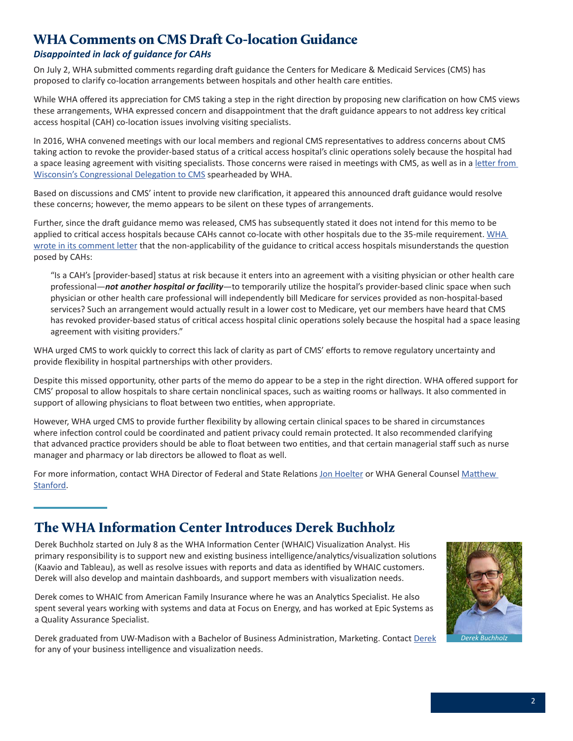### <span id="page-1-0"></span>WHA Comments on CMS Draft Co-location Guidance

#### *Disappointed in lack of guidance for CAHs*

On July 2, WHA submitted comments regarding draft guidance the Centers for Medicare & Medicaid Services (CMS) has proposed to clarify co-location arrangements between hospitals and other health care entities.

While WHA offered its appreciation for CMS taking a step in the right direction by proposing new clarification on how CMS views these arrangements, WHA expressed concern and disappointment that the draft guidance appears to not address key critical access hospital (CAH) co-location issues involving visiting specialists.

In 2016, WHA convened meetings with our local members and regional CMS representatives to address concerns about CMS taking action to revoke the provider-based status of a critical access hospital's clinic operations solely because the hospital had a space leasing agreement with visiting specialists. Those concerns were raised in meetings with CMS, as well as in a [letter from](https://www.wha.org/Home/Common-PDFs/2016CMS_Mixed_Use_Space7-13)  [Wisconsin's Congressional Delegation to CMS](https://www.wha.org/Home/Common-PDFs/2016CMS_Mixed_Use_Space7-13) spearheaded by WHA.

Based on discussions and CMS' intent to provide new clarification, it appeared this announced draft guidance would resolve these concerns; however, the memo appears to be silent on these types of arrangements.

Further, since the draft guidance memo was released, CMS has subsequently stated it does not intend for this memo to be applied to critical access hospitals because CAHs cannot co-locate with other hospitals due to the 35-mile requirement. [WHA](http://www.wha.org/WisconsinHospitalAssociation/media/WHACommon/CommentLetters/WHAcommentsonCMSdraftColocationGuidance7-2-19.pdf)  [wrote in its comment letter](http://www.wha.org/WisconsinHospitalAssociation/media/WHACommon/CommentLetters/WHAcommentsonCMSdraftColocationGuidance7-2-19.pdf) that the non-applicability of the guidance to critical access hospitals misunderstands the question posed by CAHs:

"Is a CAH's [provider-based] status at risk because it enters into an agreement with a visiting physician or other health care professional—*not another hospital or facility*—to temporarily utilize the hospital's provider-based clinic space when such physician or other health care professional will independently bill Medicare for services provided as non-hospital-based services? Such an arrangement would actually result in a lower cost to Medicare, yet our members have heard that CMS has revoked provider-based status of critical access hospital clinic operations solely because the hospital had a space leasing agreement with visiting providers."

WHA urged CMS to work quickly to correct this lack of clarity as part of CMS' efforts to remove regulatory uncertainty and provide flexibility in hospital partnerships with other providers.

Despite this missed opportunity, other parts of the memo do appear to be a step in the right direction. WHA offered support for CMS' proposal to allow hospitals to share certain nonclinical spaces, such as waiting rooms or hallways. It also commented in support of allowing physicians to float between two entities, when appropriate.

However, WHA urged CMS to provide further flexibility by allowing certain clinical spaces to be shared in circumstances where infection control could be coordinated and patient privacy could remain protected. It also recommended clarifying that advanced practice providers should be able to float between two entities, and that certain managerial staff such as nurse manager and pharmacy or lab directors be allowed to float as well.

For more information, contact WHA Director of Federal and State Relations [Jon Hoelter](mailto:jhoelter@wha.org) or WHA General Counsel Matthew [Stanford.](mailto:mstanford@wha.org)

### The WHA Information Center Introduces Derek Buchholz

Derek Buchholz started on July 8 as the WHA Information Center (WHAIC) Visualization Analyst. His primary responsibility is to support new and existing business intelligence/analytics/visualization solutions (Kaavio and Tableau), as well as resolve issues with reports and data as identified by WHAIC customers. Derek will also develop and maintain dashboards, and support members with visualization needs.

Derek comes to WHAIC from American Family Insurance where he was an Analytics Specialist. He also spent several years working with systems and data at Focus on Energy, and has worked at Epic Systems as a Quality Assurance Specialist.

Derek graduated from UW-Madison with a Bachelor of Business Administration, Marketing. Contact [Derek](mailto:dbuchholz@wha.org) for any of your business intelligence and visualization needs.

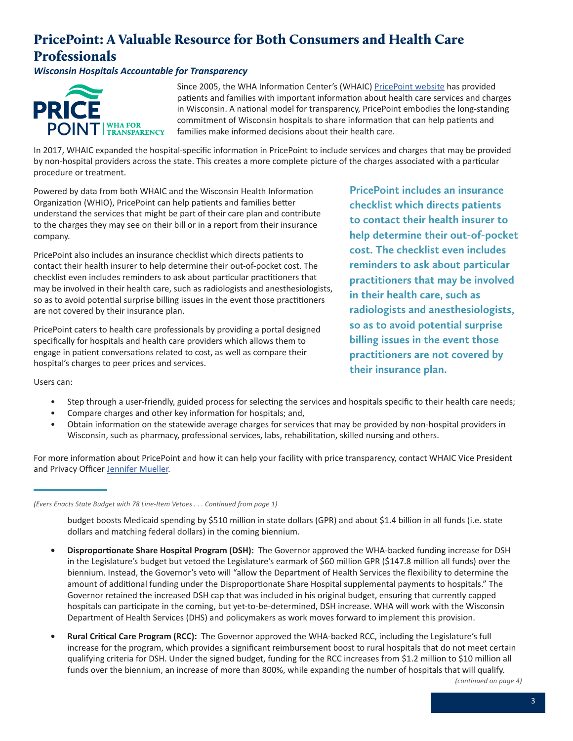### <span id="page-2-0"></span>PricePoint: A Valuable Resource for Both Consumers and Health Care Professionals

*Wisconsin Hospitals Accountable for Transparency*



Since 2005, the WHA Information Center's (WHAIC) [PricePoint website](http://www.WiPricePoint.org) has provided patients and families with important information about health care services and charges in Wisconsin. A national model for transparency, PricePoint embodies the long-standing commitment of Wisconsin hospitals to share information that can help patients and families make informed decisions about their health care.

In 2017, WHAIC expanded the hospital-specific information in PricePoint to include services and charges that may be provided by non-hospital providers across the state. This creates a more complete picture of the charges associated with a particular procedure or treatment.

Powered by data from both WHAIC and the Wisconsin Health Information Organization (WHIO), PricePoint can help patients and families better understand the services that might be part of their care plan and contribute to the charges they may see on their bill or in a report from their insurance company.

PricePoint also includes an insurance checklist which directs patients to contact their health insurer to help determine their out-of-pocket cost. The checklist even includes reminders to ask about particular practitioners that may be involved in their health care, such as radiologists and anesthesiologists, so as to avoid potential surprise billing issues in the event those practitioners are not covered by their insurance plan.

PricePoint caters to health care professionals by providing a portal designed specifically for hospitals and health care providers which allows them to engage in patient conversations related to cost, as well as compare their hospital's charges to peer prices and services.

**PricePoint includes an insurance checklist which directs patients to contact their health insurer to help determine their out-of-pocket cost. The checklist even includes reminders to ask about particular practitioners that may be involved in their health care, such as radiologists and anesthesiologists, so as to avoid potential surprise billing issues in the event those practitioners are not covered by their insurance plan.**

Users can:

- Step through a user-friendly, guided process for selecting the services and hospitals specific to their health care needs;
- Compare charges and other key information for hospitals; and,
- Obtain information on the statewide average charges for services that may be provided by non-hospital providers in Wisconsin, such as pharmacy, professional services, labs, rehabilitation, skilled nursing and others.

For more information about PricePoint and how it can help your facility with price transparency, contact WHAIC Vice President and Privacy Officer [Jennifer Mueller.](mailto:jmueller@wha.org)

budget boosts Medicaid spending by \$510 million in state dollars (GPR) and about \$1.4 billion in all funds (i.e. state dollars and matching federal dollars) in the coming biennium.

- **• Disproportionate Share Hospital Program (DSH):** The Governor approved the WHA-backed funding increase for DSH in the Legislature's budget but vetoed the Legislature's earmark of \$60 million GPR (\$147.8 million all funds) over the biennium. Instead, the Governor's veto will "allow the Department of Health Services the flexibility to determine the amount of additional funding under the Disproportionate Share Hospital supplemental payments to hospitals." The Governor retained the increased DSH cap that was included in his original budget, ensuring that currently capped hospitals can participate in the coming, but yet-to-be-determined, DSH increase. WHA will work with the Wisconsin Department of Health Services (DHS) and policymakers as work moves forward to implement this provision.
- **• Rural Critical Care Program (RCC):** The Governor approved the WHA-backed RCC, including the Legislature's full increase for the program, which provides a significant reimbursement boost to rural hospitals that do not meet certain qualifying criteria for DSH. Under the signed budget, funding for the RCC increases from \$1.2 million to \$10 million all funds over the biennium, an increase of more than 800%, while expanding the number of hospitals that will qualify.

*(continued on page 4)*

*<sup>(</sup>Evers Enacts State Budget with 78 Line-Item Vetoes . . . Continued from page 1)*